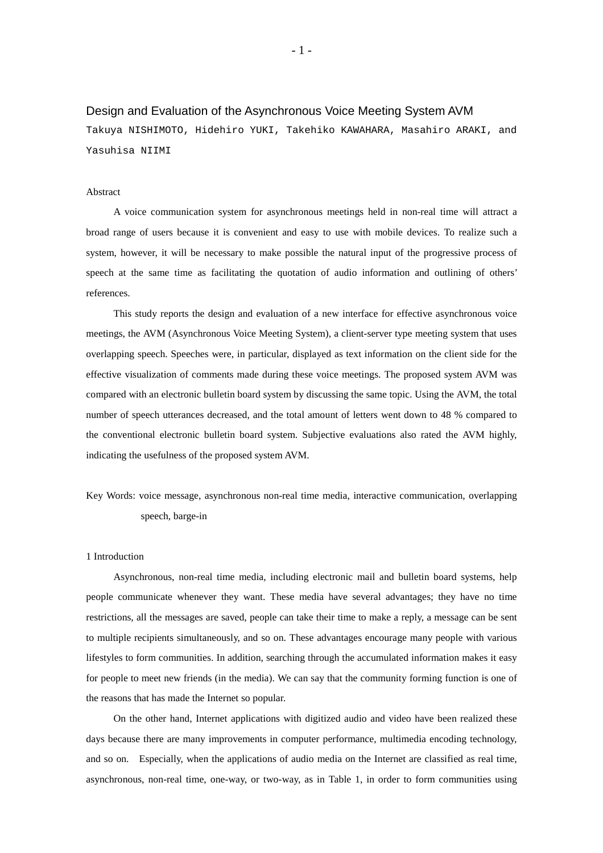# Design and Evaluation of the Asynchronous Voice Meeting System AVM

Takuya NISHIMOTO, Hidehiro YUKI, Takehiko KAWAHARA, Masahiro ARAKI, and Yasuhisa NIIMI

## Abstract

A voice communication system for asynchronous meetings held in non-real time will attract a broad range of users because it is convenient and easy to use with mobile devices. To realize such a system, however, it will be necessary to make possible the natural input of the progressive process of speech at the same time as facilitating the quotation of audio information and outlining of others' references.

This study reports the design and evaluation of a new interface for effective asynchronous voice meetings, the AVM (Asynchronous Voice Meeting System), a client-server type meeting system that uses overlapping speech. Speeches were, in particular, displayed as text information on the client side for the effective visualization of comments made during these voice meetings. The proposed system AVM was compared with an electronic bulletin board system by discussing the same topic. Using the AVM, the total number of speech utterances decreased, and the total amount of letters went down to 48 % compared to the conventional electronic bulletin board system. Subjective evaluations also rated the AVM highly, indicating the usefulness of the proposed system AVM.

Key Words: voice message, asynchronous non-real time media, interactive communication, overlapping speech, barge-in

### 1 Introduction

Asynchronous, non-real time media, including electronic mail and bulletin board systems, help people communicate whenever they want. These media have several advantages; they have no time restrictions, all the messages are saved, people can take their time to make a reply, a message can be sent to multiple recipients simultaneously, and so on. These advantages encourage many people with various lifestyles to form communities. In addition, searching through the accumulated information makes it easy for people to meet new friends (in the media). We can say that the community forming function is one of the reasons that has made the Internet so popular.

On the other hand, Internet applications with digitized audio and video have been realized these days because there are many improvements in computer performance, multimedia encoding technology, and so on. Especially, when the applications of audio media on the Internet are classified as real time, asynchronous, non-real time, one-way, or two-way, as in Table 1, in order to form communities using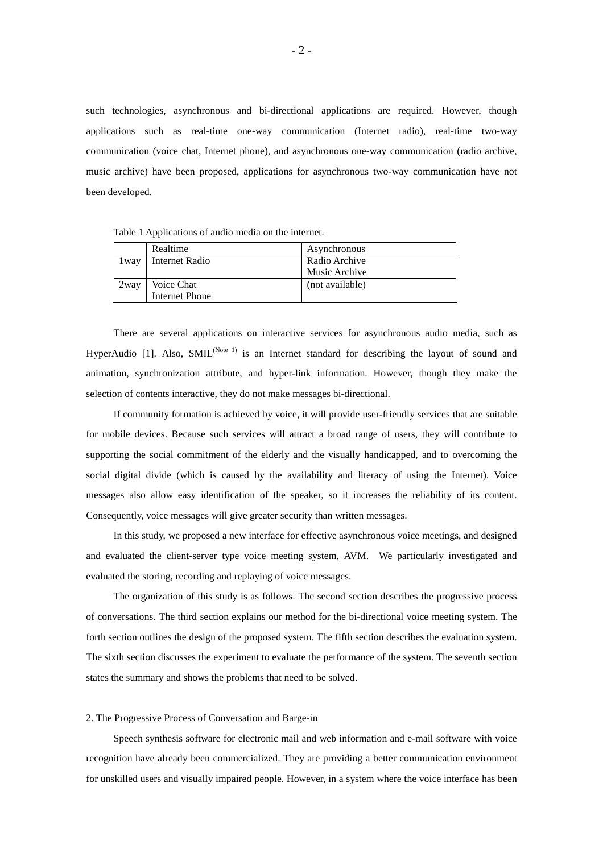such technologies, asynchronous and bi-directional applications are required. However, though applications such as real-time one-way communication (Internet radio), real-time two-way communication (voice chat, Internet phone), and asynchronous one-way communication (radio archive, music archive) have been proposed, applications for asynchronous two-way communication have not been developed.

|       | Realtime              | Asynchronous    |
|-------|-----------------------|-----------------|
| 1 way | Internet Radio        | Radio Archive   |
|       |                       | Music Archive   |
| 2way  | Voice Chat            | (not available) |
|       | <b>Internet Phone</b> |                 |

Table 1 Applications of audio media on the internet.

There are several applications on interactive services for asynchronous audio media, such as HyperAudio [1]. Also, SMIL<sup>(Note 1)</sup> is an Internet standard for describing the layout of sound and animation, synchronization attribute, and hyper-link information. However, though they make the selection of contents interactive, they do not make messages bi-directional.

If community formation is achieved by voice, it will provide user-friendly services that are suitable for mobile devices. Because such services will attract a broad range of users, they will contribute to supporting the social commitment of the elderly and the visually handicapped, and to overcoming the social digital divide (which is caused by the availability and literacy of using the Internet). Voice messages also allow easy identification of the speaker, so it increases the reliability of its content. Consequently, voice messages will give greater security than written messages.

In this study, we proposed a new interface for effective asynchronous voice meetings, and designed and evaluated the client-server type voice meeting system, AVM. We particularly investigated and evaluated the storing, recording and replaying of voice messages.

The organization of this study is as follows. The second section describes the progressive process of conversations. The third section explains our method for the bi-directional voice meeting system. The forth section outlines the design of the proposed system. The fifth section describes the evaluation system. The sixth section discusses the experiment to evaluate the performance of the system. The seventh section states the summary and shows the problems that need to be solved.

### 2. The Progressive Process of Conversation and Barge-in

Speech synthesis software for electronic mail and web information and e-mail software with voice recognition have already been commercialized. They are providing a better communication environment for unskilled users and visually impaired people. However, in a system where the voice interface has been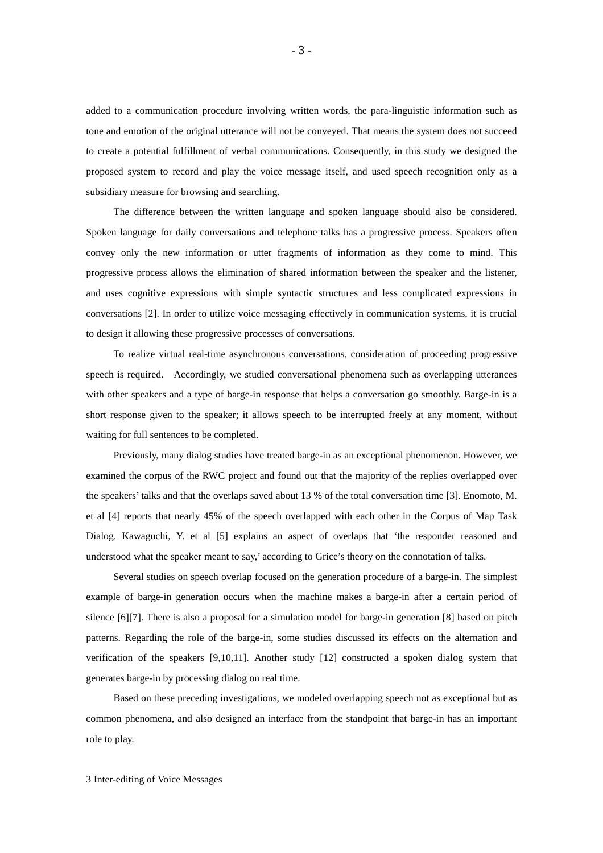added to a communication procedure involving written words, the para-linguistic information such as tone and emotion of the original utterance will not be conveyed. That means the system does not succeed to create a potential fulfillment of verbal communications. Consequently, in this study we designed the proposed system to record and play the voice message itself, and used speech recognition only as a subsidiary measure for browsing and searching.

The difference between the written language and spoken language should also be considered. Spoken language for daily conversations and telephone talks has a progressive process. Speakers often convey only the new information or utter fragments of information as they come to mind. This progressive process allows the elimination of shared information between the speaker and the listener, and uses cognitive expressions with simple syntactic structures and less complicated expressions in conversations [2]. In order to utilize voice messaging effectively in communication systems, it is crucial to design it allowing these progressive processes of conversations.

To realize virtual real-time asynchronous conversations, consideration of proceeding progressive speech is required. Accordingly, we studied conversational phenomena such as overlapping utterances with other speakers and a type of barge-in response that helps a conversation go smoothly. Barge-in is a short response given to the speaker; it allows speech to be interrupted freely at any moment, without waiting for full sentences to be completed.

Previously, many dialog studies have treated barge-in as an exceptional phenomenon. However, we examined the corpus of the RWC project and found out that the majority of the replies overlapped over the speakers' talks and that the overlaps saved about 13 % of the total conversation time [3]. Enomoto, M. et al [4] reports that nearly 45% of the speech overlapped with each other in the Corpus of Map Task Dialog. Kawaguchi, Y. et al [5] explains an aspect of overlaps that 'the responder reasoned and understood what the speaker meant to say,' according to Grice's theory on the connotation of talks.

Several studies on speech overlap focused on the generation procedure of a barge-in. The simplest example of barge-in generation occurs when the machine makes a barge-in after a certain period of silence [6][7]. There is also a proposal for a simulation model for barge-in generation [8] based on pitch patterns. Regarding the role of the barge-in, some studies discussed its effects on the alternation and verification of the speakers [9,10,11]. Another study [12] constructed a spoken dialog system that generates barge-in by processing dialog on real time.

Based on these preceding investigations, we modeled overlapping speech not as exceptional but as common phenomena, and also designed an interface from the standpoint that barge-in has an important role to play.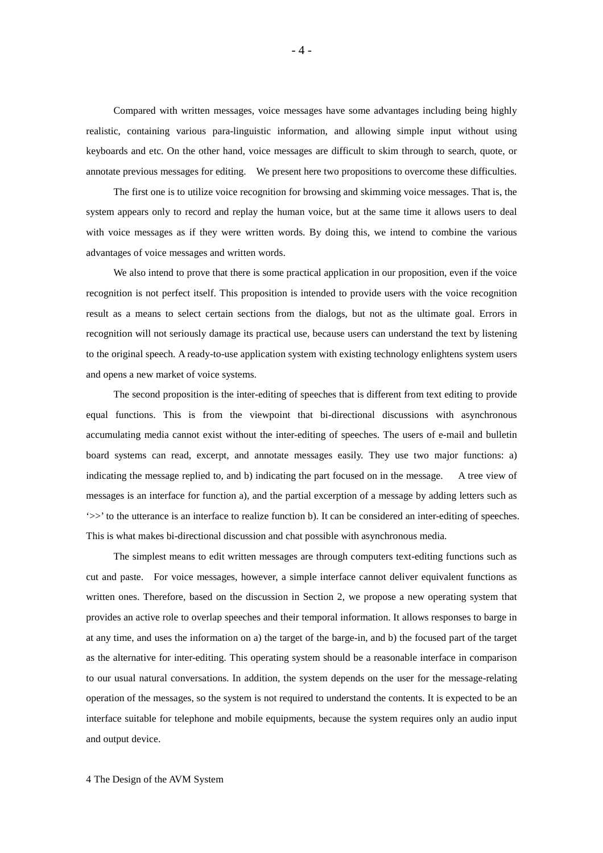Compared with written messages, voice messages have some advantages including being highly realistic, containing various para-linguistic information, and allowing simple input without using keyboards and etc. On the other hand, voice messages are difficult to skim through to search, quote, or annotate previous messages for editing. We present here two propositions to overcome these difficulties.

The first one is to utilize voice recognition for browsing and skimming voice messages. That is, the system appears only to record and replay the human voice, but at the same time it allows users to deal with voice messages as if they were written words. By doing this, we intend to combine the various advantages of voice messages and written words.

We also intend to prove that there is some practical application in our proposition, even if the voice recognition is not perfect itself. This proposition is intended to provide users with the voice recognition result as a means to select certain sections from the dialogs, but not as the ultimate goal. Errors in recognition will not seriously damage its practical use, because users can understand the text by listening to the original speech. A ready-to-use application system with existing technology enlightens system users and opens a new market of voice systems.

The second proposition is the inter-editing of speeches that is different from text editing to provide equal functions. This is from the viewpoint that bi-directional discussions with asynchronous accumulating media cannot exist without the inter-editing of speeches. The users of e-mail and bulletin board systems can read, excerpt, and annotate messages easily. They use two major functions: a) indicating the message replied to, and b) indicating the part focused on in the message. A tree view of messages is an interface for function a), and the partial excerption of a message by adding letters such as '>>' to the utterance is an interface to realize function b). It can be considered an inter-editing of speeches. This is what makes bi-directional discussion and chat possible with asynchronous media.

The simplest means to edit written messages are through computers text-editing functions such as cut and paste. For voice messages, however, a simple interface cannot deliver equivalent functions as written ones. Therefore, based on the discussion in Section 2, we propose a new operating system that provides an active role to overlap speeches and their temporal information. It allows responses to barge in at any time, and uses the information on a) the target of the barge-in, and b) the focused part of the target as the alternative for inter-editing. This operating system should be a reasonable interface in comparison to our usual natural conversations. In addition, the system depends on the user for the message-relating operation of the messages, so the system is not required to understand the contents. It is expected to be an interface suitable for telephone and mobile equipments, because the system requires only an audio input and output device.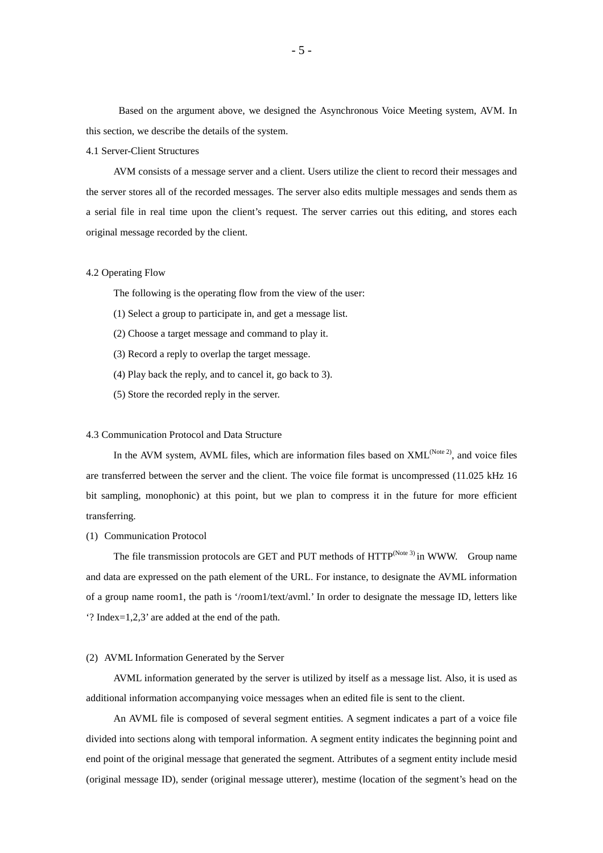Based on the argument above, we designed the Asynchronous Voice Meeting system, AVM. In this section, we describe the details of the system.

# 4.1 Server-Client Structures

AVM consists of a message server and a client. Users utilize the client to record their messages and the server stores all of the recorded messages. The server also edits multiple messages and sends them as a serial file in real time upon the client's request. The server carries out this editing, and stores each original message recorded by the client.

# 4.2 Operating Flow

The following is the operating flow from the view of the user:

- (1) Select a group to participate in, and get a message list.
- (2) Choose a target message and command to play it.
- (3) Record a reply to overlap the target message.
- (4) Play back the reply, and to cancel it, go back to 3).
- (5) Store the recorded reply in the server.

#### 4.3 Communication Protocol and Data Structure

In the AVM system, AVML files, which are information files based on  $XML^{(Note 2)}$ , and voice files are transferred between the server and the client. The voice file format is uncompressed (11.025 kHz 16 bit sampling, monophonic) at this point, but we plan to compress it in the future for more efficient transferring.

(1) Communication Protocol

The file transmission protocols are GET and PUT methods of HTTP<sup>(Note 3)</sup> in WWW. Group name and data are expressed on the path element of the URL. For instance, to designate the AVML information of a group name room1, the path is '/room1/text/avml.' In order to designate the message ID, letters like '? Index=1,2,3' are added at the end of the path.

#### (2) AVML Information Generated by the Server

AVML information generated by the server is utilized by itself as a message list. Also, it is used as additional information accompanying voice messages when an edited file is sent to the client.

An AVML file is composed of several segment entities. A segment indicates a part of a voice file divided into sections along with temporal information. A segment entity indicates the beginning point and end point of the original message that generated the segment. Attributes of a segment entity include mesid (original message ID), sender (original message utterer), mestime (location of the segment's head on the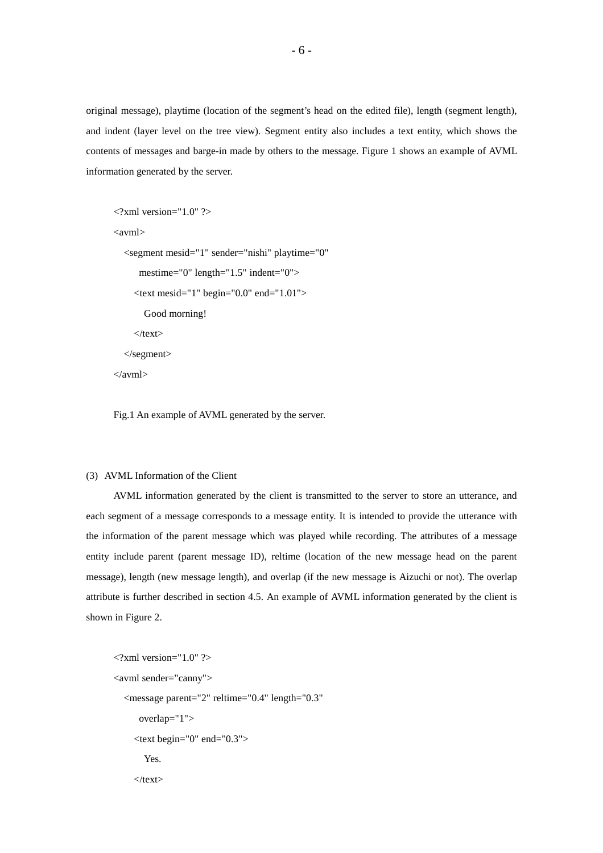original message), playtime (location of the segment's head on the edited file), length (segment length), and indent (layer level on the tree view). Segment entity also includes a text entity, which shows the contents of messages and barge-in made by others to the message. Figure 1 shows an example of AVML information generated by the server.

```
\langle 2xml version="1.0" ?>
<avml>
  <segment mesid="1" sender="nishi" playtime="0"
      mestime="0" length="1.5" indent="0">
     \text{ <text>test mesid="1" begin="0.0" end="1.01">Good morning!
     \langletext\rangle</segment>
\langle/avml\rangle
```
Fig.1 An example of AVML generated by the server.

## (3) AVML Information of the Client

AVML information generated by the client is transmitted to the server to store an utterance, and each segment of a message corresponds to a message entity. It is intended to provide the utterance with the information of the parent message which was played while recording. The attributes of a message entity include parent (parent message ID), reltime (location of the new message head on the parent message), length (new message length), and overlap (if the new message is Aizuchi or not). The overlap attribute is further described in section 4.5. An example of AVML information generated by the client is shown in Figure 2.

```
\langle 2xml version="1.0" ?>
<avml sender="canny">
  <message parent="2" reltime="0.4" length="0.3"
      overlap="1">
     \langletext begin="0" end="0.3">
        Yes.
     \langletext\rangle
```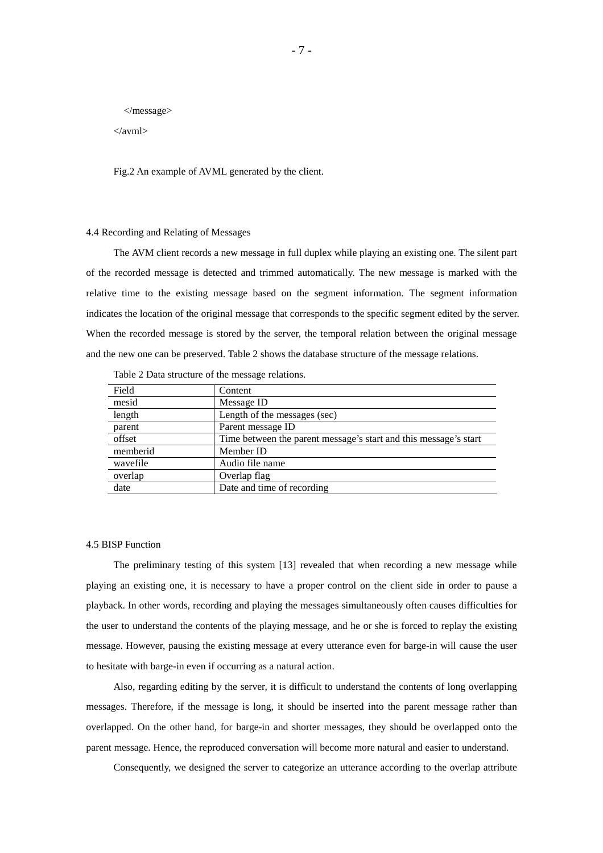</message>

</avml>

Fig.2 An example of AVML generated by the client.

## 4.4 Recording and Relating of Messages

The AVM client records a new message in full duplex while playing an existing one. The silent part of the recorded message is detected and trimmed automatically. The new message is marked with the relative time to the existing message based on the segment information. The segment information indicates the location of the original message that corresponds to the specific segment edited by the server. When the recorded message is stored by the server, the temporal relation between the original message and the new one can be preserved. Table 2 shows the database structure of the message relations.

| Field    | Content                                                          |
|----------|------------------------------------------------------------------|
| mesid    | Message ID                                                       |
| length   | Length of the messages (sec)                                     |
| parent   | Parent message ID                                                |
| offset   | Time between the parent message's start and this message's start |
| memberid | Member ID                                                        |
| wavefile | Audio file name                                                  |
| overlap  | Overlap flag                                                     |
| date     | Date and time of recording                                       |

Table 2 Data structure of the message relations.

## 4.5 BISP Function

The preliminary testing of this system [13] revealed that when recording a new message while playing an existing one, it is necessary to have a proper control on the client side in order to pause a playback. In other words, recording and playing the messages simultaneously often causes difficulties for the user to understand the contents of the playing message, and he or she is forced to replay the existing message. However, pausing the existing message at every utterance even for barge-in will cause the user to hesitate with barge-in even if occurring as a natural action.

Also, regarding editing by the server, it is difficult to understand the contents of long overlapping messages. Therefore, if the message is long, it should be inserted into the parent message rather than overlapped. On the other hand, for barge-in and shorter messages, they should be overlapped onto the parent message. Hence, the reproduced conversation will become more natural and easier to understand.

Consequently, we designed the server to categorize an utterance according to the overlap attribute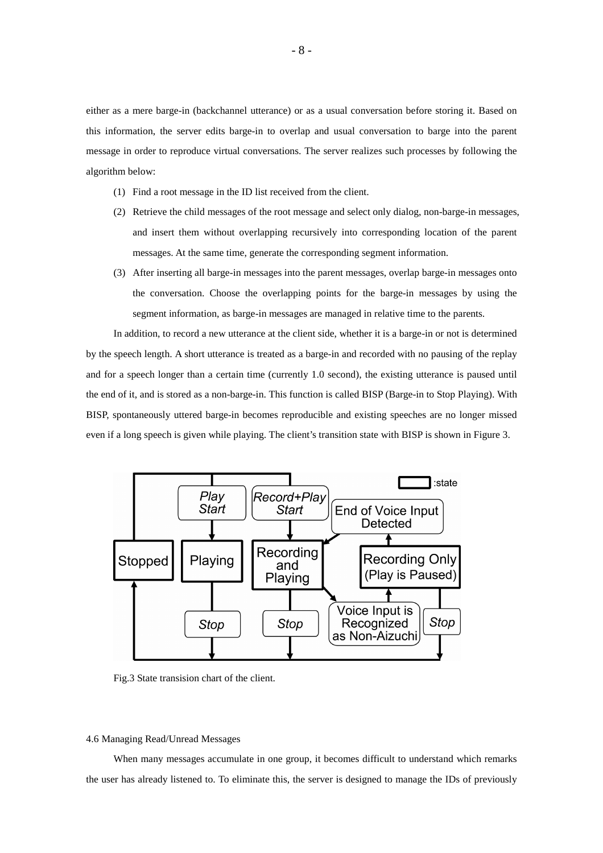either as a mere barge-in (backchannel utterance) or as a usual conversation before storing it. Based on this information, the server edits barge-in to overlap and usual conversation to barge into the parent message in order to reproduce virtual conversations. The server realizes such processes by following the algorithm below:

- (1) Find a root message in the ID list received from the client.
- (2) Retrieve the child messages of the root message and select only dialog, non-barge-in messages, and insert them without overlapping recursively into corresponding location of the parent messages. At the same time, generate the corresponding segment information.
- (3) After inserting all barge-in messages into the parent messages, overlap barge-in messages onto the conversation. Choose the overlapping points for the barge-in messages by using the segment information, as barge-in messages are managed in relative time to the parents.

In addition, to record a new utterance at the client side, whether it is a barge-in or not is determined by the speech length. A short utterance is treated as a barge-in and recorded with no pausing of the replay and for a speech longer than a certain time (currently 1.0 second), the existing utterance is paused until the end of it, and is stored as a non-barge-in. This function is called BISP (Barge-in to Stop Playing). With BISP, spontaneously uttered barge-in becomes reproducible and existing speeches are no longer missed even if a long speech is given while playing. The client's transition state with BISP is shown in Figure 3.



Fig.3 State transision chart of the client.

#### 4.6 Managing Read/Unread Messages

When many messages accumulate in one group, it becomes difficult to understand which remarks the user has already listened to. To eliminate this, the server is designed to manage the IDs of previously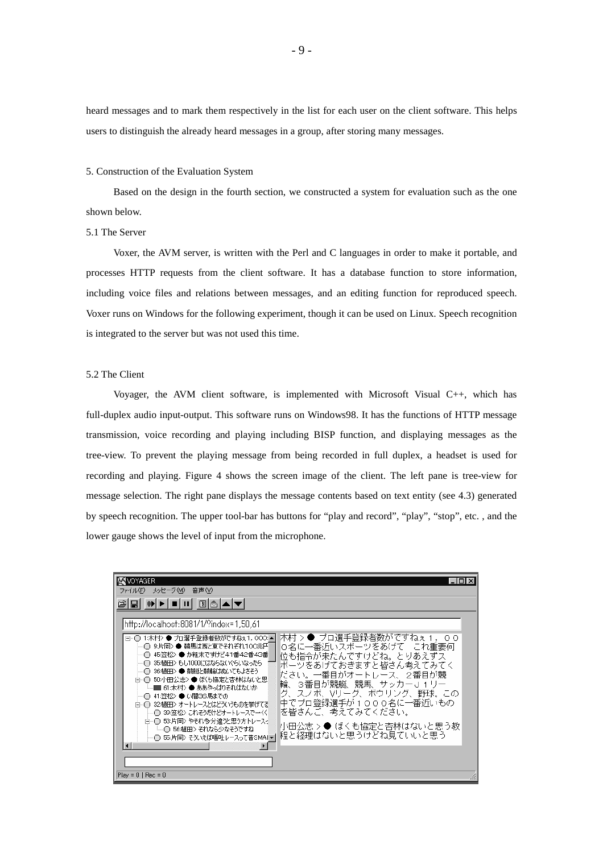heard messages and to mark them respectively in the list for each user on the client software. This helps users to distinguish the already heard messages in a group, after storing many messages.

## 5. Construction of the Evaluation System

Based on the design in the fourth section, we constructed a system for evaluation such as the one shown below.

### 5.1 The Server

Voxer, the AVM server, is written with the Perl and C languages in order to make it portable, and processes HTTP requests from the client software. It has a database function to store information, including voice files and relations between messages, and an editing function for reproduced speech. Voxer runs on Windows for the following experiment, though it can be used on Linux. Speech recognition is integrated to the server but was not used this time.

# 5.2 The Client

Voyager, the AVM client software, is implemented with Microsoft Visual C++, which has full-duplex audio input-output. This software runs on Windows98. It has the functions of HTTP message transmission, voice recording and playing including BISP function, and displaying messages as the tree-view. To prevent the playing message from being recorded in full duplex, a headset is used for recording and playing. Figure 4 shows the screen image of the client. The left pane is tree-view for message selection. The right pane displays the message contents based on text entity (see 4.3) generated by speech recognition. The upper tool-bar has buttons for "play and record", "play", "stop", etc. , and the lower gauge shows the level of input from the microphone.

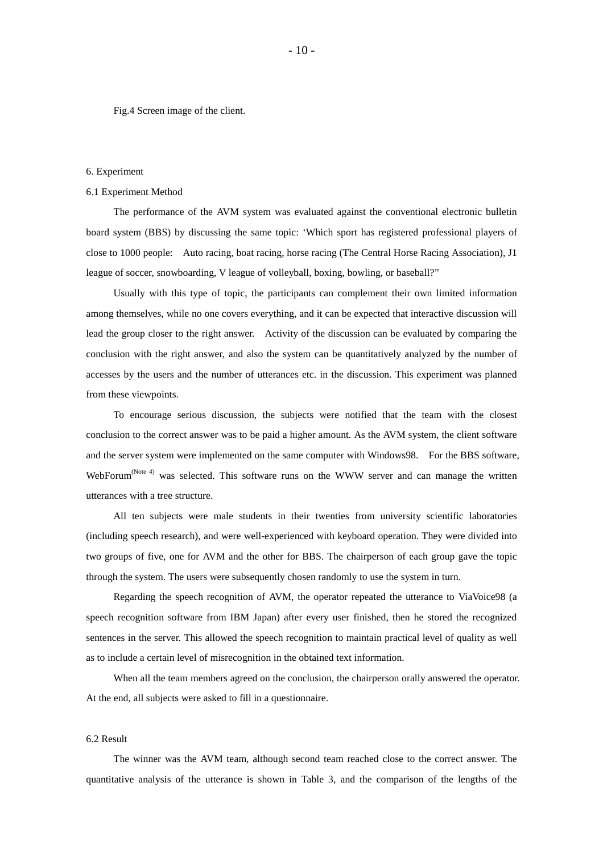Fig.4 Screen image of the client.

## 6. Experiment

## 6.1 Experiment Method

The performance of the AVM system was evaluated against the conventional electronic bulletin board system (BBS) by discussing the same topic: 'Which sport has registered professional players of close to 1000 people: Auto racing, boat racing, horse racing (The Central Horse Racing Association), J1 league of soccer, snowboarding, V league of volleyball, boxing, bowling, or baseball?"

Usually with this type of topic, the participants can complement their own limited information among themselves, while no one covers everything, and it can be expected that interactive discussion will lead the group closer to the right answer. Activity of the discussion can be evaluated by comparing the conclusion with the right answer, and also the system can be quantitatively analyzed by the number of accesses by the users and the number of utterances etc. in the discussion. This experiment was planned from these viewpoints.

To encourage serious discussion, the subjects were notified that the team with the closest conclusion to the correct answer was to be paid a higher amount. As the AVM system, the client software and the server system were implemented on the same computer with Windows98. For the BBS software, WebForum<sup>(Note 4)</sup> was selected. This software runs on the WWW server and can manage the written utterances with a tree structure.

All ten subjects were male students in their twenties from university scientific laboratories (including speech research), and were well-experienced with keyboard operation. They were divided into two groups of five, one for AVM and the other for BBS. The chairperson of each group gave the topic through the system. The users were subsequently chosen randomly to use the system in turn.

Regarding the speech recognition of AVM, the operator repeated the utterance to ViaVoice98 (a speech recognition software from IBM Japan) after every user finished, then he stored the recognized sentences in the server. This allowed the speech recognition to maintain practical level of quality as well as to include a certain level of misrecognition in the obtained text information.

When all the team members agreed on the conclusion, the chairperson orally answered the operator. At the end, all subjects were asked to fill in a questionnaire.

#### 6.2 Result

The winner was the AVM team, although second team reached close to the correct answer. The quantitative analysis of the utterance is shown in Table 3, and the comparison of the lengths of the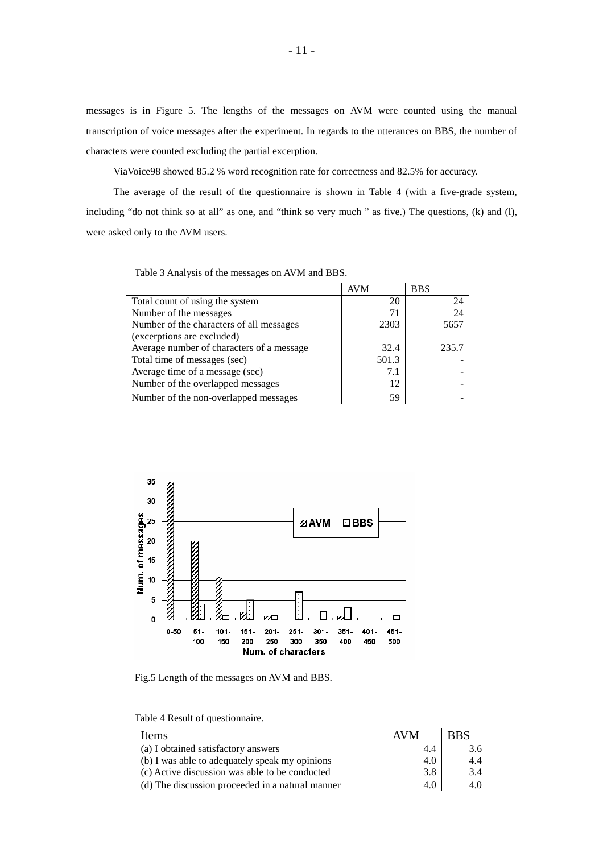messages is in Figure 5. The lengths of the messages on AVM were counted using the manual transcription of voice messages after the experiment. In regards to the utterances on BBS, the number of characters were counted excluding the partial excerption.

ViaVoice98 showed 85.2 % word recognition rate for correctness and 82.5% for accuracy.

The average of the result of the questionnaire is shown in Table 4 (with a five-grade system, including "do not think so at all" as one, and "think so very much " as five.) The questions, (k) and (l), were asked only to the AVM users.

|                                           | <b>AVM</b> | <b>BBS</b> |
|-------------------------------------------|------------|------------|
| Total count of using the system           | 20         | 24         |
| Number of the messages                    | 71         | 24         |
| Number of the characters of all messages  | 2303       | 5657       |
| (excerptions are excluded)                |            |            |
| Average number of characters of a message | 32.4       | 235.7      |
| Total time of messages (sec)              | 501.3      |            |
| Average time of a message (sec)           | 7.1        |            |
| Number of the overlapped messages         | 12         |            |
| Number of the non-overlapped messages     | 59         |            |

Table 3 Analysis of the messages on AVM and BBS.



Fig.5 Length of the messages on AVM and BBS.

| Table 4 Result of questionnaire. |
|----------------------------------|
|----------------------------------|

| Items                                            | AVM | <b>BBS</b> |
|--------------------------------------------------|-----|------------|
| (a) I obtained satisfactory answers              | 4.4 | 3.6        |
| (b) I was able to adequately speak my opinions   | 4.0 | 4.4        |
| (c) Active discussion was able to be conducted   | 3.8 | 3.4        |
| (d) The discussion proceeded in a natural manner | 4.0 | 4.0        |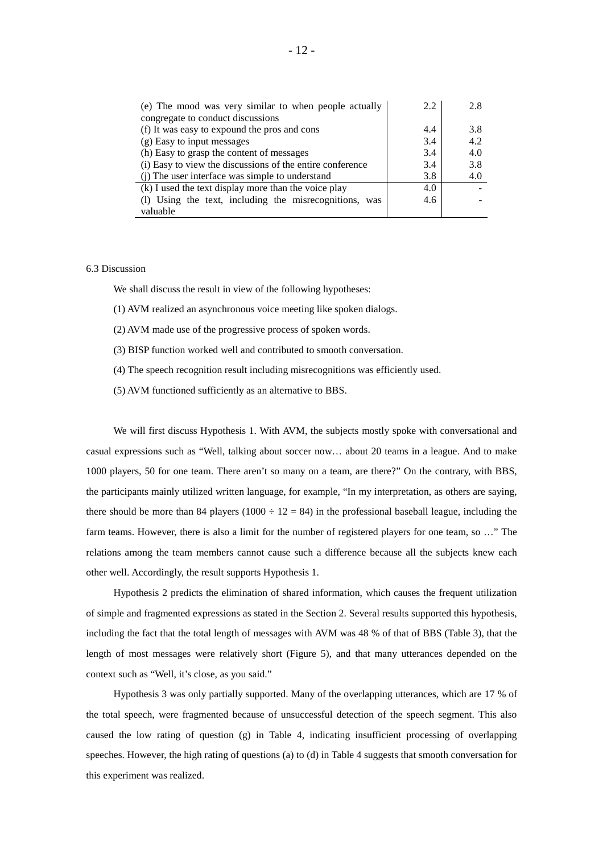| (e) The mood was very similar to when people actually     | 2.2 | 2.8 |
|-----------------------------------------------------------|-----|-----|
| congregate to conduct discussions                         |     |     |
| (f) It was easy to expound the pros and cons              | 4.4 | 3.8 |
| (g) Easy to input messages                                | 3.4 | 4.2 |
| (h) Easy to grasp the content of messages                 | 3.4 | 4.0 |
| (i) Easy to view the discussions of the entire conference | 3.4 | 3.8 |
| (i) The user interface was simple to understand           | 3.8 | 4.0 |
| (k) I used the text display more than the voice play      | 4.0 |     |
| (1) Using the text, including the misrecognitions, was    | 4.6 |     |
| valuable                                                  |     |     |

## 6.3 Discussion

We shall discuss the result in view of the following hypotheses:

(1) AVM realized an asynchronous voice meeting like spoken dialogs.

- (2) AVM made use of the progressive process of spoken words.
- (3) BISP function worked well and contributed to smooth conversation.
- (4) The speech recognition result including misrecognitions was efficiently used.
- (5) AVM functioned sufficiently as an alternative to BBS.

We will first discuss Hypothesis 1. With AVM, the subjects mostly spoke with conversational and casual expressions such as "Well, talking about soccer now… about 20 teams in a league. And to make 1000 players, 50 for one team. There aren't so many on a team, are there?" On the contrary, with BBS, the participants mainly utilized written language, for example, "In my interpretation, as others are saying, there should be more than 84 players (1000  $\div$  12 = 84) in the professional baseball league, including the farm teams. However, there is also a limit for the number of registered players for one team, so …" The relations among the team members cannot cause such a difference because all the subjects knew each other well. Accordingly, the result supports Hypothesis 1.

Hypothesis 2 predicts the elimination of shared information, which causes the frequent utilization of simple and fragmented expressions as stated in the Section 2. Several results supported this hypothesis, including the fact that the total length of messages with AVM was 48 % of that of BBS (Table 3), that the length of most messages were relatively short (Figure 5), and that many utterances depended on the context such as "Well, it's close, as you said."

Hypothesis 3 was only partially supported. Many of the overlapping utterances, which are 17 % of the total speech, were fragmented because of unsuccessful detection of the speech segment. This also caused the low rating of question (g) in Table 4, indicating insufficient processing of overlapping speeches. However, the high rating of questions (a) to (d) in Table 4 suggests that smooth conversation for this experiment was realized.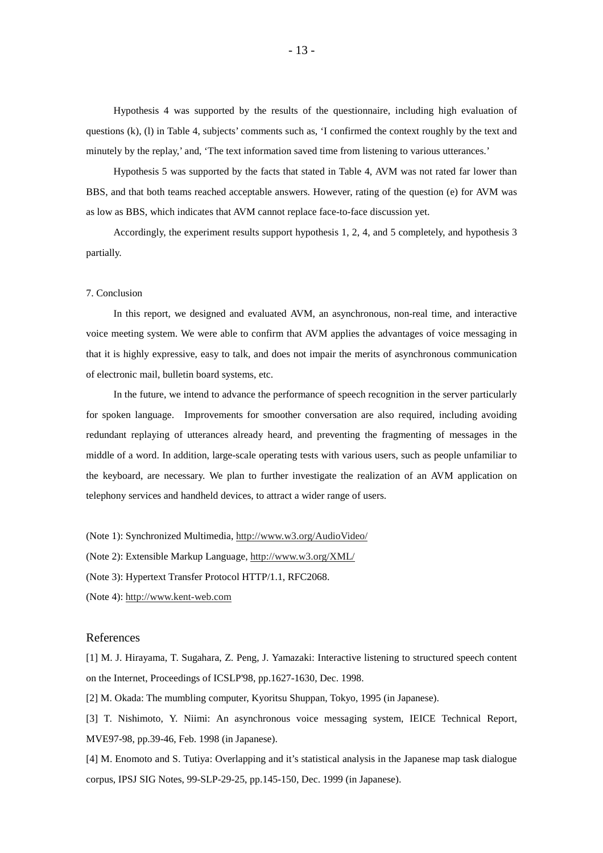Hypothesis 4 was supported by the results of the questionnaire, including high evaluation of questions (k), (l) in Table 4, subjects' comments such as, 'I confirmed the context roughly by the text and minutely by the replay,' and, 'The text information saved time from listening to various utterances.'

Hypothesis 5 was supported by the facts that stated in Table 4, AVM was not rated far lower than BBS, and that both teams reached acceptable answers. However, rating of the question (e) for AVM was as low as BBS, which indicates that AVM cannot replace face-to-face discussion yet.

Accordingly, the experiment results support hypothesis 1, 2, 4, and 5 completely, and hypothesis 3 partially.

## 7. Conclusion

In this report, we designed and evaluated AVM, an asynchronous, non-real time, and interactive voice meeting system. We were able to confirm that AVM applies the advantages of voice messaging in that it is highly expressive, easy to talk, and does not impair the merits of asynchronous communication of electronic mail, bulletin board systems, etc.

In the future, we intend to advance the performance of speech recognition in the server particularly for spoken language. Improvements for smoother conversation are also required, including avoiding redundant replaying of utterances already heard, and preventing the fragmenting of messages in the middle of a word. In addition, large-scale operating tests with various users, such as people unfamiliar to the keyboard, are necessary. We plan to further investigate the realization of an AVM application on telephony services and handheld devices, to attract a wider range of users.

(Note 1): Synchronized Multimedia, http://www.w3.org/AudioVideo/

(Note 2): Extensible Markup Language, http://www.w3.org/XML/

(Note 3): Hypertext Transfer Protocol HTTP/1.1, RFC2068.

(Note 4): http://www.kent-web.com

# References

[1] M. J. Hirayama, T. Sugahara, Z. Peng, J. Yamazaki: Interactive listening to structured speech content on the Internet, Proceedings of ICSLP'98, pp.1627-1630, Dec. 1998.

[2] M. Okada: The mumbling computer, Kyoritsu Shuppan, Tokyo, 1995 (in Japanese).

[3] T. Nishimoto, Y. Niimi: An asynchronous voice messaging system, IEICE Technical Report, MVE97-98, pp.39-46, Feb. 1998 (in Japanese).

[4] M. Enomoto and S. Tutiya: Overlapping and it's statistical analysis in the Japanese map task dialogue corpus, IPSJ SIG Notes, 99-SLP-29-25, pp.145-150, Dec. 1999 (in Japanese).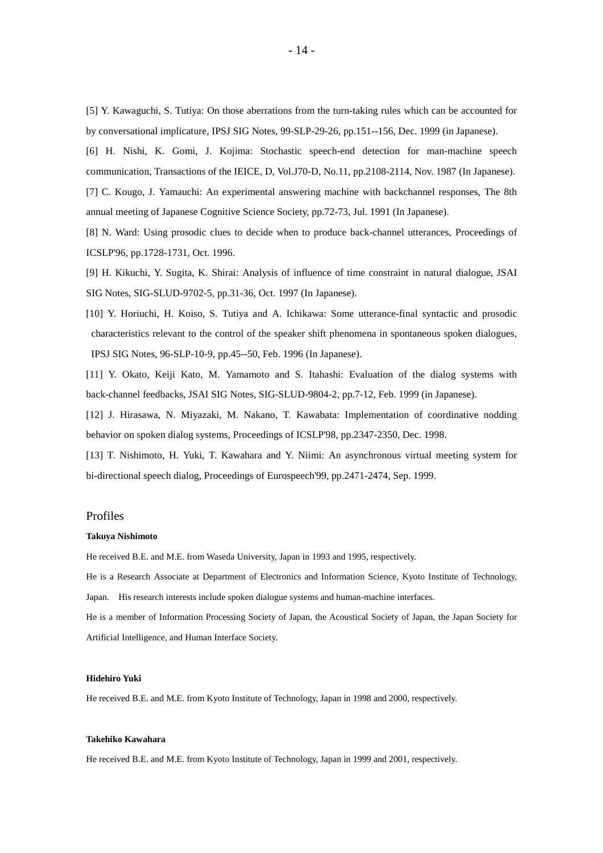[5] Y. Kawaguchi, S. Tutiya: On those aberrations from the turn-taking rules which can be accounted for by conversational implicature, IPSJ SIG Notes, 99-SLP-29-26, pp.151--156, Dec. 1999 (in Japanese).

[6] H. Nishi, K. Gomi, J. Kojima: Stochastic speech-end detection for man-machine speech communication, Transactions of the IEICE, D, Vol.J70-D, No.11, pp.2108-2114, Nov. 1987 (In Japanese). [7] C. Kougo, J. Yamauchi: An experimental answering machine with backchannel responses, The 8th

annual meeting of Japanese Cognitive Science Society, pp.72-73, Jul. 1991 (In Japanese).

[8] N. Ward: Using prosodic clues to decide when to produce back-channel utterances, Proceedings of ICSLP'96, pp.1728-1731, Oct. 1996.

[9] H. Kikuchi, Y. Sugita, K. Shirai: Analysis of influence of time constraint in natural dialogue, JSAI SIG Notes, SIG-SLUD-9702-5, pp.31-36, Oct. 1997 (In Japanese).

[10] Y. Horiuchi, H. Koiso, S. Tutiya and A. Ichikawa: Some utterance-final syntactic and prosodic characteristics relevant to the control of the speaker shift phenomena in spontaneous spoken dialogues, IPSJ SIG Notes, 96-SLP-10-9, pp.45--50, Feb. 1996 (In Japanese).

[11] Y. Okato, Keiji Kato, M. Yamamoto and S. Itahashi: Evaluation of the dialog systems with back-channel feedbacks, JSAI SIG Notes, SIG-SLUD-9804-2, pp.7-12, Feb. 1999 (in Japanese).

[12] J. Hirasawa, N. Miyazaki, M. Nakano, T. Kawabata: Implementation of coordinative nodding behavior on spoken dialog systems, Proceedings of ICSLP'98, pp.2347-2350, Dec. 1998.

[13] T. Nishimoto, H. Yuki, T. Kawahara and Y. Niimi: An asynchronous virtual meeting system for bi-directional speech dialog, Proceedings of Eurospeech'99, pp.2471-2474, Sep. 1999.

# Profiles

## **Takuya Nishimoto**

He received B.E. and M.E. from Waseda University, Japan in 1993 and 1995, respectively.

He is a Research Associate at Department of Electronics and Information Science, Kyoto Institute of Technology,

Japan. His research interests include spoken dialogue systems and human-machine interfaces.

He is a member of Information Processing Society of Japan, the Acoustical Society of Japan, the Japan Society for Artificial Intelligence, and Human Interface Society.

## **Hidehiro Yuki**

He received B.E. and M.E. from Kyoto Institute of Technology, Japan in 1998 and 2000, respectively.

#### **Takehiko Kawahara**

He received B.E. and M.E. from Kyoto Institute of Technology, Japan in 1999 and 2001, respectively.